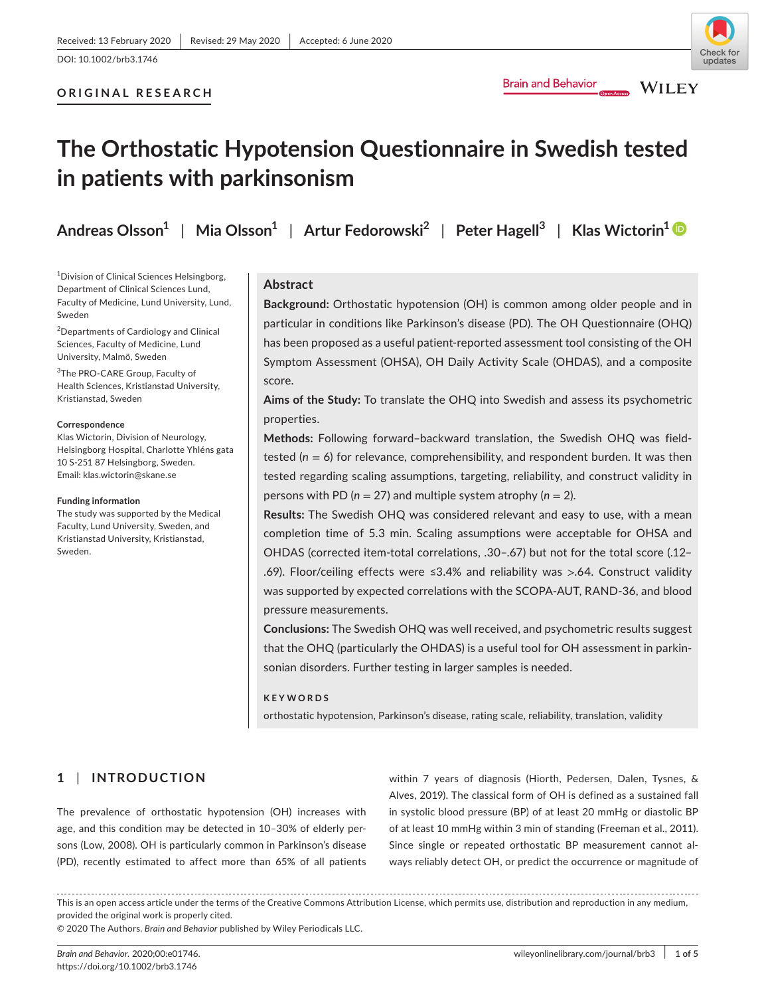# **ORIGINAL RESEARCH**

# **The Orthostatic Hypotension Questionnaire in Swedish tested in patients with parkinsonism**

**Andreas Olsson<sup>1</sup>** | **Mia Olsson<sup>1</sup>** | **Artur Fedorowski<sup>2</sup>** | **Peter Hagell<sup>3</sup>** | **Klas Wictorin[1](https://orcid.org/0000-0002-5417-4562)**

<sup>1</sup> Division of Clinical Sciences Helsingborg, Department of Clinical Sciences Lund, Faculty of Medicine, Lund University, Lund, Sweden

<sup>2</sup>Departments of Cardiology and Clinical Sciences, Faculty of Medicine, Lund University, Malmö, Sweden

<sup>3</sup>The PRO-CARE Group, Faculty of Health Sciences, Kristianstad University, Kristianstad, Sweden

## **Correspondence**

Klas Wictorin, Division of Neurology, Helsingborg Hospital, Charlotte Yhléns gata 10 S-251 87 Helsingborg, Sweden. Email: [klas.wictorin@skane.se](mailto:klas.wictorin@skane.se)

#### **Funding information**

The study was supported by the Medical Faculty, Lund University, Sweden, and Kristianstad University, Kristianstad, Sweden.

# **Abstract**

**Background:** Orthostatic hypotension (OH) is common among older people and in particular in conditions like Parkinson's disease (PD). The OH Questionnaire (OHQ) has been proposed as a useful patient-reported assessment tool consisting of the OH Symptom Assessment (OHSA), OH Daily Activity Scale (OHDAS), and a composite score.

**Brain and Behavior** 

**Aims of the Study:** To translate the OHQ into Swedish and assess its psychometric properties.

**Methods:** Following forward–backward translation, the Swedish OHQ was fieldtested  $(n = 6)$  for relevance, comprehensibility, and respondent burden. It was then tested regarding scaling assumptions, targeting, reliability, and construct validity in persons with PD (*n* = 27) and multiple system atrophy (*n* = 2).

**Results:** The Swedish OHQ was considered relevant and easy to use, with a mean completion time of 5.3 min. Scaling assumptions were acceptable for OHSA and OHDAS (corrected item-total correlations, .30–.67) but not for the total score (.12– .69). Floor/ceiling effects were ≤3.4% and reliability was >.64. Construct validity was supported by expected correlations with the SCOPA-AUT, RAND-36, and blood pressure measurements.

**Conclusions:** The Swedish OHQ was well received, and psychometric results suggest that the OHQ (particularly the OHDAS) is a useful tool for OH assessment in parkinsonian disorders. Further testing in larger samples is needed.

## **KEYWORDS**

orthostatic hypotension, Parkinson's disease, rating scale, reliability, translation, validity

# **1** | **INTRODUCTION**

The prevalence of orthostatic hypotension (OH) increases with age, and this condition may be detected in 10–30% of elderly persons (Low, 2008). OH is particularly common in Parkinson's disease (PD), recently estimated to affect more than 65% of all patients

within 7 years of diagnosis (Hiorth, Pedersen, Dalen, Tysnes, & Alves, 2019). The classical form of OH is defined as a sustained fall in systolic blood pressure (BP) of at least 20 mmHg or diastolic BP of at least 10 mmHg within 3 min of standing (Freeman et al., 2011). Since single or repeated orthostatic BP measurement cannot always reliably detect OH, or predict the occurrence or magnitude of

This is an open access article under the terms of the [Creative Commons Attribution](http://creativecommons.org/licenses/by/4.0/) License, which permits use, distribution and reproduction in any medium, provided the original work is properly cited.

© 2020 The Authors. *Brain and Behavior* published by Wiley Periodicals LLC.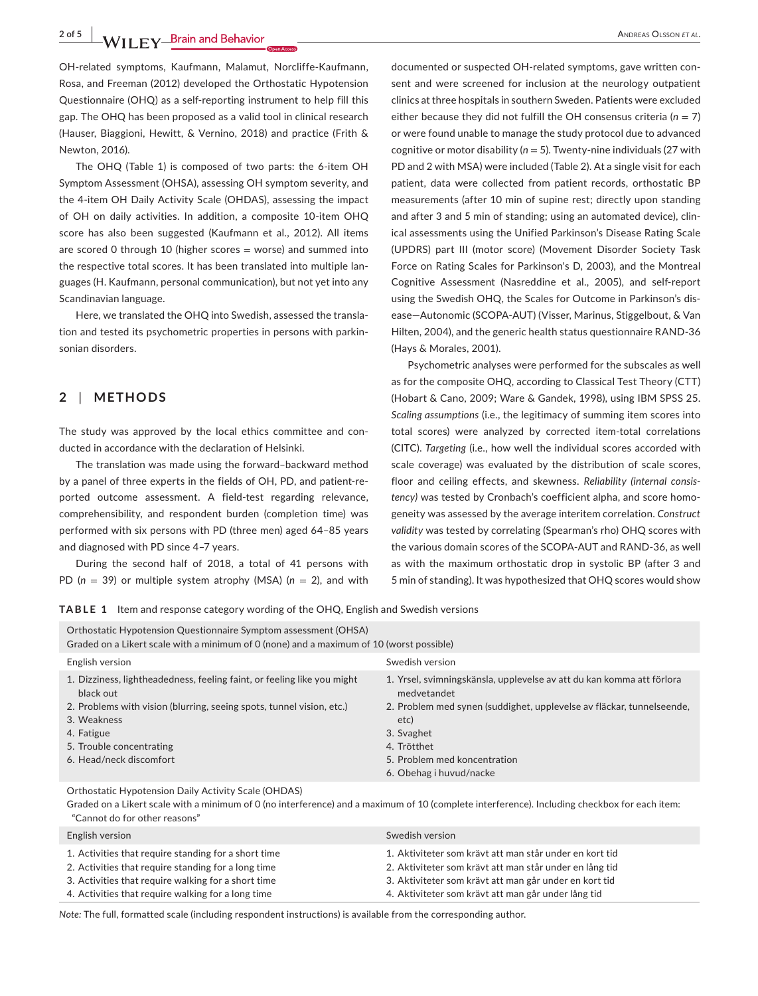**2 of 5 |**  Andreas Olsson *et al*.

OH-related symptoms, Kaufmann, Malamut, Norcliffe-Kaufmann, Rosa, and Freeman (2012) developed the Orthostatic Hypotension Questionnaire (OHQ) as a self-reporting instrument to help fill this gap. The OHQ has been proposed as a valid tool in clinical research (Hauser, Biaggioni, Hewitt, & Vernino, 2018) and practice (Frith & Newton, 2016).

The OHQ (Table 1) is composed of two parts: the 6-item OH Symptom Assessment (OHSA), assessing OH symptom severity, and the 4-item OH Daily Activity Scale (OHDAS), assessing the impact of OH on daily activities. In addition, a composite 10-item OHQ score has also been suggested (Kaufmann et al., 2012). All items are scored 0 through 10 (higher scores = worse) and summed into the respective total scores. It has been translated into multiple languages (H. Kaufmann, personal communication), but not yet into any Scandinavian language.

Here, we translated the OHQ into Swedish, assessed the translation and tested its psychometric properties in persons with parkinsonian disorders.

# **2** | **METHODS**

The study was approved by the local ethics committee and conducted in accordance with the declaration of Helsinki.

The translation was made using the forward–backward method by a panel of three experts in the fields of OH, PD, and patient-reported outcome assessment. A field-test regarding relevance, comprehensibility, and respondent burden (completion time) was performed with six persons with PD (three men) aged 64–85 years and diagnosed with PD since 4–7 years.

During the second half of 2018, a total of 41 persons with PD (*n* = 39) or multiple system atrophy (MSA) (*n* = 2), and with

documented or suspected OH-related symptoms, gave written consent and were screened for inclusion at the neurology outpatient clinics at three hospitals in southern Sweden. Patients were excluded either because they did not fulfill the OH consensus criteria  $(n = 7)$ or were found unable to manage the study protocol due to advanced cognitive or motor disability (*n* = 5). Twenty-nine individuals (27 with PD and 2 with MSA) were included (Table 2). At a single visit for each patient, data were collected from patient records, orthostatic BP measurements (after 10 min of supine rest; directly upon standing and after 3 and 5 min of standing; using an automated device), clinical assessments using the Unified Parkinson's Disease Rating Scale (UPDRS) part III (motor score) (Movement Disorder Society Task Force on Rating Scales for Parkinson's D, 2003), and the Montreal Cognitive Assessment (Nasreddine et al., 2005), and self-report using the Swedish OHQ, the Scales for Outcome in Parkinson's disease—Autonomic (SCOPA-AUT) (Visser, Marinus, Stiggelbout, & Van Hilten, 2004), and the generic health status questionnaire RAND-36 (Hays & Morales, 2001).

Psychometric analyses were performed for the subscales as well as for the composite OHQ, according to Classical Test Theory (CTT) (Hobart & Cano, 2009; Ware & Gandek, 1998), using IBM SPSS 25. *Scaling assumptions* (i.e., the legitimacy of summing item scores into total scores) were analyzed by corrected item-total correlations (CITC). *Targeting* (i.e., how well the individual scores accorded with scale coverage) was evaluated by the distribution of scale scores, floor and ceiling effects, and skewness. *Reliability (internal consistency)* was tested by Cronbach's coefficient alpha, and score homogeneity was assessed by the average interitem correlation. *Construct validity* was tested by correlating (Spearman's rho) OHQ scores with the various domain scores of the SCOPA-AUT and RAND-36, as well as with the maximum orthostatic drop in systolic BP (after 3 and 5 min of standing). It was hypothesized that OHQ scores would show

**TABLE 1** Item and response category wording of the OHQ, English and Swedish versions

| Orthostatic Hypotension Questionnaire Symptom assessment (OHSA)<br>Graded on a Likert scale with a minimum of 0 (none) and a maximum of 10 (worst possible)                                                                                       |                                                                                                                                                                                                                                                               |  |  |  |
|---------------------------------------------------------------------------------------------------------------------------------------------------------------------------------------------------------------------------------------------------|---------------------------------------------------------------------------------------------------------------------------------------------------------------------------------------------------------------------------------------------------------------|--|--|--|
| English version                                                                                                                                                                                                                                   | Swedish version                                                                                                                                                                                                                                               |  |  |  |
| 1. Dizziness, lightheadedness, feeling faint, or feeling like you might<br>black out<br>2. Problems with vision (blurring, seeing spots, tunnel vision, etc.)<br>3. Weakness<br>4. Fatigue<br>5. Trouble concentrating<br>6. Head/neck discomfort | 1. Yrsel, svimningskänsla, upplevelse av att du kan komma att förlora<br>medvetandet<br>2. Problem med synen (suddighet, upplevelse av fläckar, tunnelseende,<br>etc)<br>3. Svaghet<br>4. Trötthet<br>5. Problem med koncentration<br>6. Obehag i huvud/nacke |  |  |  |
| Orthostatic Hynotension Daily Activity Scale (OHDAS)                                                                                                                                                                                              |                                                                                                                                                                                                                                                               |  |  |  |

Orthostatic Hypotension Daily Activity Scale (OHDAS)

Graded on a Likert scale with a minimum of 0 (no interference) and a maximum of 10 (complete interference). Including checkbox for each item: "Cannot do for other reasons"

| English version                                      | Swedish version                                         |
|------------------------------------------------------|---------------------------------------------------------|
| 1. Activities that require standing for a short time | 1. Aktiviteter som krävt att man står under en kort tid |
| 2. Activities that require standing for a long time  | 2. Aktiviteter som krävt att man står under en lång tid |
| 3. Activities that require walking for a short time  | 3. Aktiviteter som krävt att man går under en kort tid  |
| 4. Activities that require walking for a long time   | 4. Aktiviteter som krävt att man går under lång tid     |

*Note:* The full, formatted scale (including respondent instructions) is available from the corresponding author.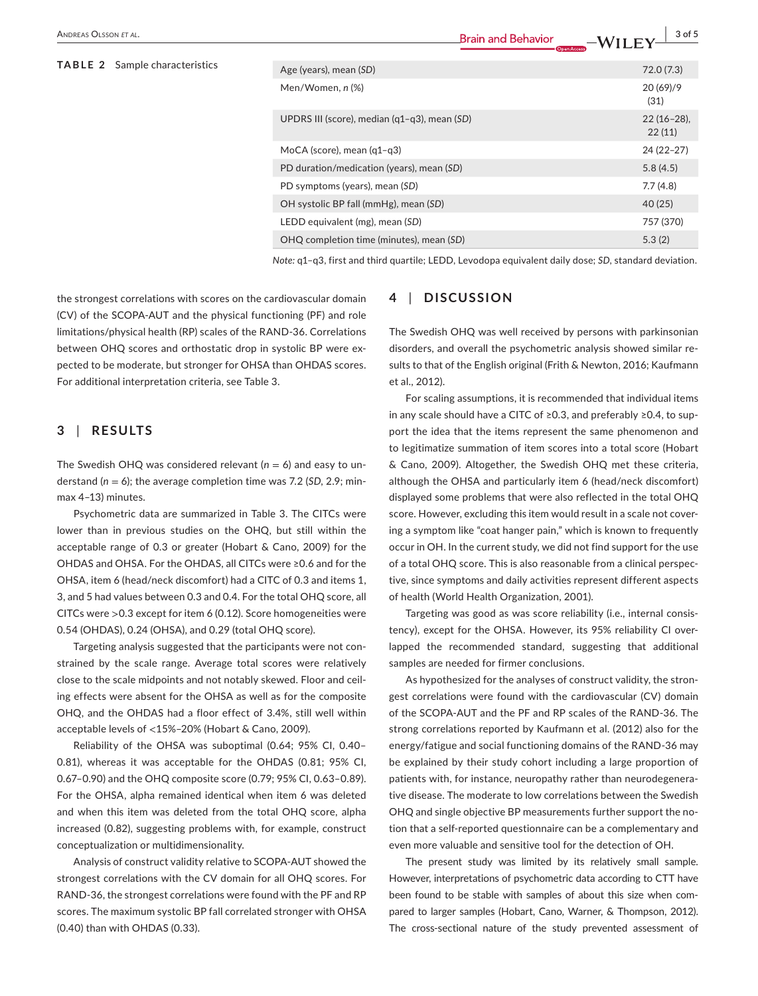ANDREAS OLSSON ET AL. 3 of 5

| <b>TABLE 2</b> Sample characteristics |  | Age (years), mean (SD)                       | 72.0 (7.3)              |
|---------------------------------------|--|----------------------------------------------|-------------------------|
|                                       |  | Men/Women, n (%)                             | 20(69)/9<br>(31)        |
|                                       |  | UPDRS III (score), median (q1-q3), mean (SD) | $22(16-28)$ ,<br>22(11) |
|                                       |  | MoCA (score), mean $(q1-q3)$                 | $24(22-27)$             |
|                                       |  | PD duration/medication (years), mean (SD)    | 5.8(4.5)                |
|                                       |  | PD symptoms (years), mean (SD)               | 7.7(4.8)                |
|                                       |  | OH systolic BP fall (mmHg), mean (SD)        | 40 (25)                 |
|                                       |  | LEDD equivalent (mg), mean (SD)              | 757 (370)               |
|                                       |  | OHQ completion time (minutes), mean (SD)     | 5.3(2)                  |
|                                       |  |                                              |                         |

*Note:* q1–q3, first and third quartile; LEDD, Levodopa equivalent daily dose; *SD*, standard deviation.

the strongest correlations with scores on the cardiovascular domain (CV) of the SCOPA-AUT and the physical functioning (PF) and role limitations/physical health (RP) scales of the RAND-36. Correlations between OHQ scores and orthostatic drop in systolic BP were expected to be moderate, but stronger for OHSA than OHDAS scores. For additional interpretation criteria, see Table 3.

# **3** | **RESULTS**

The Swedish OHQ was considered relevant  $(n = 6)$  and easy to understand  $(n = 6)$ ; the average completion time was 7.2 (SD, 2.9; minmax 4–13) minutes.

Psychometric data are summarized in Table 3. The CITCs were lower than in previous studies on the OHQ, but still within the acceptable range of 0.3 or greater (Hobart & Cano, 2009) for the OHDAS and OHSA. For the OHDAS, all CITCs were ≥0.6 and for the OHSA, item 6 (head/neck discomfort) had a CITC of 0.3 and items 1, 3, and 5 had values between 0.3 and 0.4. For the total OHQ score, all CITCs were >0.3 except for item 6 (0.12). Score homogeneities were 0.54 (OHDAS), 0.24 (OHSA), and 0.29 (total OHQ score).

Targeting analysis suggested that the participants were not constrained by the scale range. Average total scores were relatively close to the scale midpoints and not notably skewed. Floor and ceiling effects were absent for the OHSA as well as for the composite OHQ, and the OHDAS had a floor effect of 3.4%, still well within acceptable levels of <15%–20% (Hobart & Cano, 2009).

Reliability of the OHSA was suboptimal (0.64; 95% CI, 0.40– 0.81), whereas it was acceptable for the OHDAS (0.81; 95% CI, 0.67–0.90) and the OHQ composite score (0.79; 95% CI, 0.63–0.89). For the OHSA, alpha remained identical when item 6 was deleted and when this item was deleted from the total OHQ score, alpha increased (0.82), suggesting problems with, for example, construct conceptualization or multidimensionality.

Analysis of construct validity relative to SCOPA-AUT showed the strongest correlations with the CV domain for all OHQ scores. For RAND-36, the strongest correlations were found with the PF and RP scores. The maximum systolic BP fall correlated stronger with OHSA (0.40) than with OHDAS (0.33).

# **4** | **DISCUSSION**

The Swedish OHQ was well received by persons with parkinsonian disorders, and overall the psychometric analysis showed similar results to that of the English original (Frith & Newton, 2016; Kaufmann et al., 2012).

For scaling assumptions, it is recommended that individual items in any scale should have a CITC of ≥0.3, and preferably ≥0.4, to support the idea that the items represent the same phenomenon and to legitimatize summation of item scores into a total score (Hobart & Cano, 2009). Altogether, the Swedish OHQ met these criteria, although the OHSA and particularly item 6 (head/neck discomfort) displayed some problems that were also reflected in the total OHQ score. However, excluding this item would result in a scale not covering a symptom like "coat hanger pain," which is known to frequently occur in OH. In the current study, we did not find support for the use of a total OHQ score. This is also reasonable from a clinical perspective, since symptoms and daily activities represent different aspects of health (World Health Organization, 2001).

Targeting was good as was score reliability (i.e., internal consistency), except for the OHSA. However, its 95% reliability CI overlapped the recommended standard, suggesting that additional samples are needed for firmer conclusions.

As hypothesized for the analyses of construct validity, the strongest correlations were found with the cardiovascular (CV) domain of the SCOPA-AUT and the PF and RP scales of the RAND-36. The strong correlations reported by Kaufmann et al. (2012) also for the energy/fatigue and social functioning domains of the RAND-36 may be explained by their study cohort including a large proportion of patients with, for instance, neuropathy rather than neurodegenerative disease. The moderate to low correlations between the Swedish OHQ and single objective BP measurements further support the notion that a self-reported questionnaire can be a complementary and even more valuable and sensitive tool for the detection of OH.

The present study was limited by its relatively small sample. However, interpretations of psychometric data according to CTT have been found to be stable with samples of about this size when compared to larger samples (Hobart, Cano, Warner, & Thompson, 2012). The cross-sectional nature of the study prevented assessment of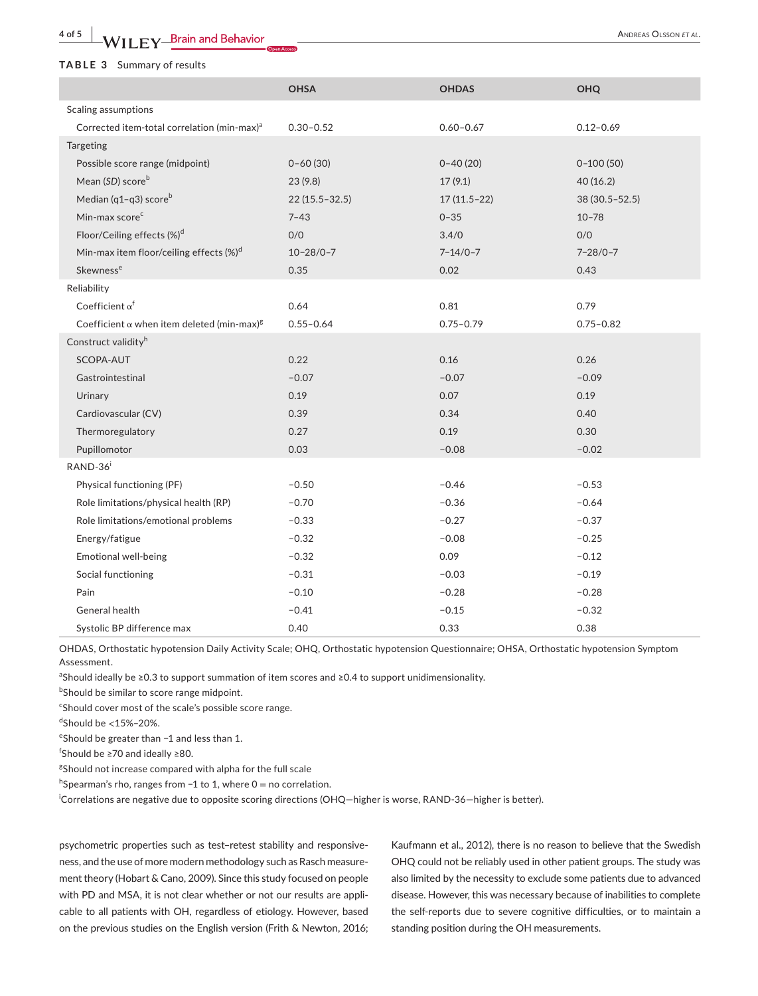## **TABLE 3** Summary of results

|                                                               | <b>OHSA</b>       | <b>OHDAS</b>   | <b>OHQ</b>        |
|---------------------------------------------------------------|-------------------|----------------|-------------------|
| Scaling assumptions                                           |                   |                |                   |
| Corrected item-total correlation (min-max) <sup>a</sup>       | $0.30 - 0.52$     | $0.60 - 0.67$  | $0.12 - 0.69$     |
| Targeting                                                     |                   |                |                   |
| Possible score range (midpoint)                               | $0 - 60(30)$      | $0 - 40(20)$   | $0-100(50)$       |
| Mean (SD) score <sup>b</sup>                                  | 23(9.8)           | 17(9.1)        | 40(16.2)          |
| Median (q1-q3) score <sup>b</sup>                             | $22(15.5 - 32.5)$ | $17(11.5-22)$  | $38(30.5 - 52.5)$ |
| Min-max score <sup>c</sup>                                    | $7 - 43$          | $0 - 35$       | $10 - 78$         |
| Floor/Ceiling effects (%) <sup>d</sup>                        | O/O               | 3.4/0          | O/O               |
| Min-max item floor/ceiling effects $(\%)^d$                   | $10 - 28/0 - 7$   | $7 - 14/0 - 7$ | $7 - 28/0 - 7$    |
| Skewness <sup>e</sup>                                         | 0.35              | 0.02           | 0.43              |
| Reliability                                                   |                   |                |                   |
| Coefficient $\alpha^f$                                        | 0.64              | 0.81           | 0.79              |
| Coefficient $\alpha$ when item deleted (min-max) <sup>g</sup> | $0.55 - 0.64$     | $0.75 - 0.79$  | $0.75 - 0.82$     |
| Construct validity <sup>h</sup>                               |                   |                |                   |
| SCOPA-AUT                                                     | 0.22              | 0.16           | 0.26              |
| Gastrointestinal                                              | $-0.07$           | $-0.07$        | $-0.09$           |
| <b>Urinary</b>                                                | 0.19              | 0.07           | 0.19              |
| Cardiovascular (CV)                                           | 0.39              | 0.34           | 0.40              |
| Thermoregulatory                                              | 0.27              | 0.19           | 0.30              |
| Pupillomotor                                                  | 0.03              | $-0.08$        | $-0.02$           |
| RAND-36 <sup>i</sup>                                          |                   |                |                   |
| Physical functioning (PF)                                     | $-0.50$           | $-0.46$        | $-0.53$           |
| Role limitations/physical health (RP)                         | $-0.70$           | $-0.36$        | $-0.64$           |
| Role limitations/emotional problems                           | $-0.33$           | $-0.27$        | $-0.37$           |
| Energy/fatigue                                                | $-0.32$           | $-0.08$        | $-0.25$           |
| <b>Emotional well-being</b>                                   | $-0.32$           | 0.09           | $-0.12$           |
| Social functioning                                            | $-0.31$           | $-0.03$        | $-0.19$           |
| Pain                                                          | $-0.10$           | $-0.28$        | $-0.28$           |
| General health                                                | $-0.41$           | $-0.15$        | $-0.32$           |
| Systolic BP difference max                                    | 0.40              | 0.33           | 0.38              |

OHDAS, Orthostatic hypotension Daily Activity Scale; OHQ, Orthostatic hypotension Questionnaire; OHSA, Orthostatic hypotension Symptom Assessment.

<sup>a</sup>Should ideally be ≥0.3 to support summation of item scores and ≥0.4 to support unidimensionality.

**bShould be similar to score range midpoint.** 

<sup>c</sup>Should cover most of the scale's possible score range.

 $\mathrm{d}$ Should be  $\mathrm{<}15\mathrm{%}$ –20%.

e Should be greater than −1 and less than 1.

f Should be ≥70 and ideally ≥80.

<sup>g</sup>Should not increase compared with alpha for the full scale

h Spearman's rho, ranges from −1 to 1, where 0 = no correlation.

i Correlations are negative due to opposite scoring directions (OHQ—higher is worse, RAND-36—higher is better).

psychometric properties such as test–retest stability and responsiveness, and the use of more modern methodology such as Rasch measurement theory (Hobart & Cano, 2009). Since this study focused on people with PD and MSA, it is not clear whether or not our results are applicable to all patients with OH, regardless of etiology. However, based on the previous studies on the English version (Frith & Newton, 2016;

Kaufmann et al., 2012), there is no reason to believe that the Swedish OHQ could not be reliably used in other patient groups. The study was also limited by the necessity to exclude some patients due to advanced disease. However, this was necessary because of inabilities to complete the self-reports due to severe cognitive difficulties, or to maintain a standing position during the OH measurements.